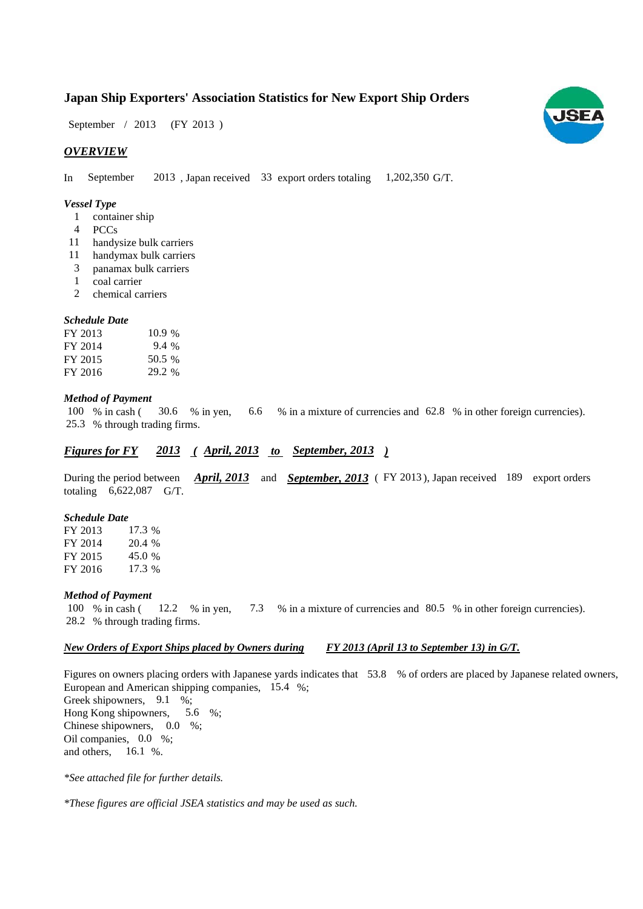## **Japan Ship Exporters' Association Statistics for New Export Ship Orders**

September / 2013 (FY 2013)

## *OVERVIEW*

In September 2013, Japan received 33 export orders totaling 1,202,350 G/T. September

### *Vessel Type*

- container ship 1
- PCCs 4
- 11 handysize bulk carriers
- 11 handymax bulk carriers
- panamax bulk carriers 3
- coal carrier 1
- chemical carriers 2

## *Schedule Date*

| FY 2013 | 10.9%  |
|---------|--------|
| FY 2014 | 9.4 %  |
| FY 2015 | 50.5 % |
| FY 2016 | 29.2 % |

#### *Method of Payment*

% in cash ( $\frac{30.6}{8}$  in yen,  $\frac{6.6}{8}$  in a mixture of currencies and 62.8 % in other foreign currencies). % through trading firms. 25.3 100 % in cash (30.6)

## *Figures for FY* 2013 (*April, 2013 to September, 2013*)

During the period between *April, 2013* and *September, 2013* (FY 2013), Japan received 189 export orders totaling  $6,622,087$  G/T.

#### *Schedule Date*

FY 2013 FY 2014 FY 2015 FY 2016 17.3 17.3 % 20.4 % 45.0 %

#### *Method of Payment*

% in cash ( $\frac{12.2}{8}$  in yen,  $\frac{7.3}{8}$  % in a mixture of currencies and 80.5 % in other foreign currencies). % through trading firms. 28.2 100 % in cash (12.2 % in yen,

#### *New Orders of Export Ships placed by Owners during FY 2013 (April 13 to September 13) in G/T.*

Figures on owners placing orders with Japanese yards indicates that 53.8 % of orders are placed by Japanese related owners, European and American shipping companies, 15.4 %;

Greek shipowners, 9.1 %; Hong Kong shipowners, Chinese shipowners,  $0.0\%$ ; Oil companies,  $0.0\%$ ; and others. 5.6 %;  $16.1 %$ 

*\*See attached file for further details.*

*\*These figures are official JSEA statistics and may be used as such.*

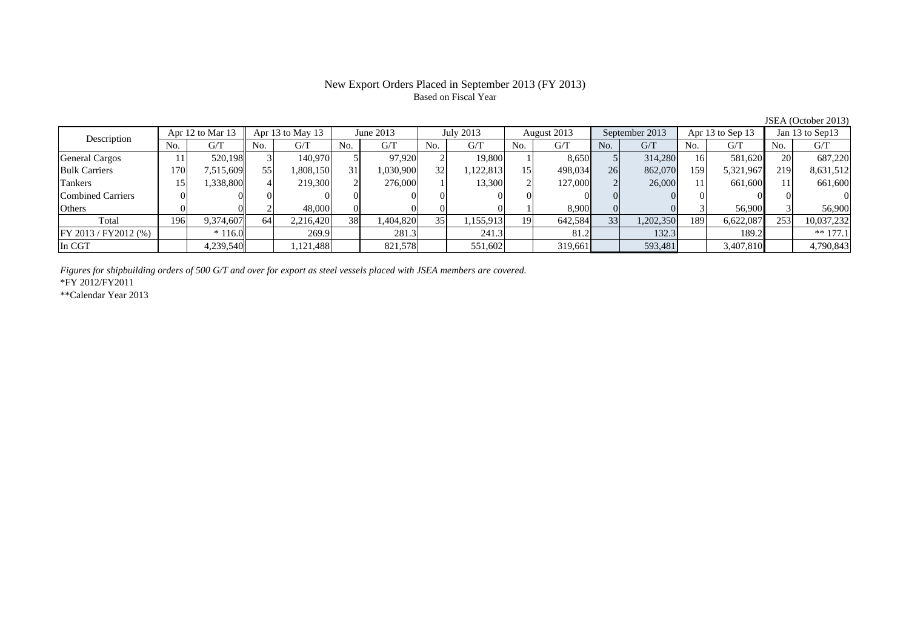## New Export Orders Placed in September 2013 (FY 2013) Based on Fiscal Year

No. G/T No. G/T No. G/T No. G/T No. G/T No. G/T No. G/T No. G/T $G/T$ General Cargos ( 11 520,198 3 140,970 5 97,920 2 19,800 1 8,650 5 314,280 16 581,620 20 687,220 Bulk Carriers 170 7,515,609 55 1,808,150 31 1,030,900 32 1,122,813 15 498,034 26 862,070 159 5,321,967 219 8,631,512 Tankers | 15| 1,338,800|| 4| 219,300| 2| 276,000| 1| 13,300| 2| 127,000| 2| 26,000| 11| 661,600|| 11| 661,600 Combined Carriers 0 0 0 0 0 0 0 0 0 0 0 0 0 0 0 0Others 0 0 2 48,000 0 0 0 0 1 8,900 0 0 3 56,900 3 56,900 Total 196 9,374,607 64 2,216,420 38 1,404,820 35 1,155,913 19 642,584 33 1,202,350 189 6,622,087 253 10,037,232 FY 2013 / FY2012 (%)  $\begin{vmatrix} * & 116.0 \end{vmatrix}$  269.9 126 281.3 241.3 241.3 241.3 251.2 132.3 189.2 189.2 189.2 In CGT 4,239,540 1,121,488 821,578 551,602 319,661 593,481 3,407,810 4,790,843 Description Apr 12 to Mar 13 | Apr 13 to May 13 | June 2013 July 2013 | August 2013 September 2013 Apr 13 to Sep 13 | Jan 13 to Sep 13

*Figures for shipbuilding orders of 500 G/T and over for export as steel vessels placed with JSEA members are covered.*

\*FY 2012/FY2011

\*\*Calendar Year 2013

JSEA (October 2013)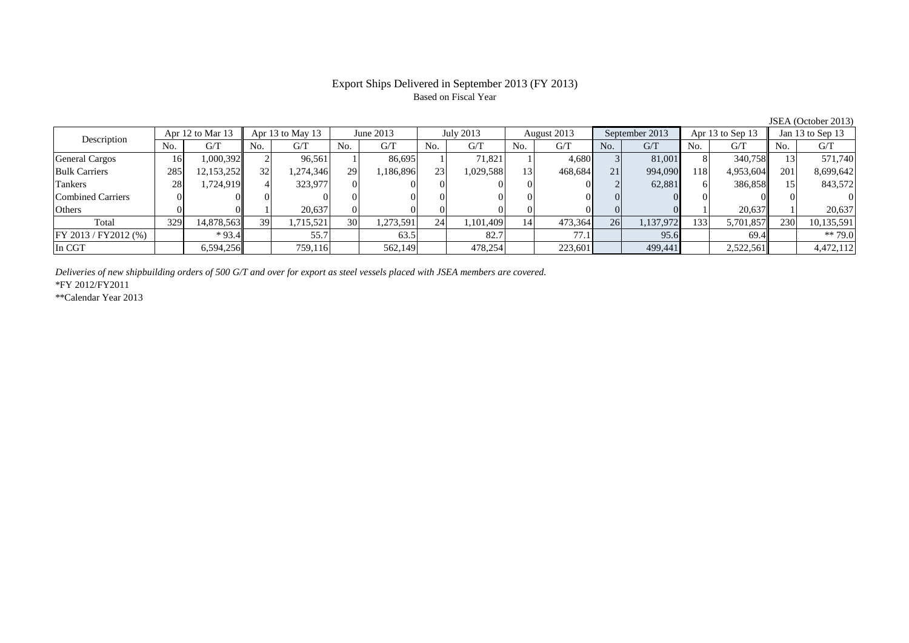## Export Ships Delivered in September 2013 (FY 2013) Based on Fiscal Year

No. G/T No. G/T No. G/T No. G/T No. G/T No. G/T No. G/T No. G/T $G/T$ General Cargos ( 16 1,000,392 2 96,561 1 86,695 1 71,821 1 4,680 3 81,001 8 340,758 13 571,740 Bulk Carriers 285 12,153,252 32 1,274,346 29 1,186,896 23 1,029,588 13 468,684 21 994,090 118 4,953,604 201 8,699,642 Tankers 28 1,724,919 4 323,977 0 0 0 0 0 0 2 62,881 6 386,858 15 843,572 Combined Carriers 0 0 0 0 0 0 0 0 0 0 0 0 0 0 0 0Others 0 0 1 20,637 0 0 0 0 0 0 0 0 1 20,637 1 20,637 Total 329 14,878,563 39 1,715,521 30 1,273,591 24 1,101,409 14 473,364 26 1,137,972 133 5,701,857 230 10,135,591 FY 2013 / FY2012 (%) \* 93.4 55.7 63.5 82.7 77.1 95.6 69.4 \*\* 79.0 In CGT | | 6,594,256|| | 759,116| | 562,149| | 478,254| | 223,601| | 499,441| | 2,522,561| | 4,472,112 July 2013 Description Apr 12 to Mar 13 Apr 13 to May 13 June 2013 August 2013 September 2013 Apr 13 to Sep 13 Jan 13 to Sep 13

*Deliveries of new shipbuilding orders of 500 G/T and over for export as steel vessels placed with JSEA members are covered.*

\*FY 2012/FY2011

\*\*Calendar Year 2013

JSEA (October 2013)